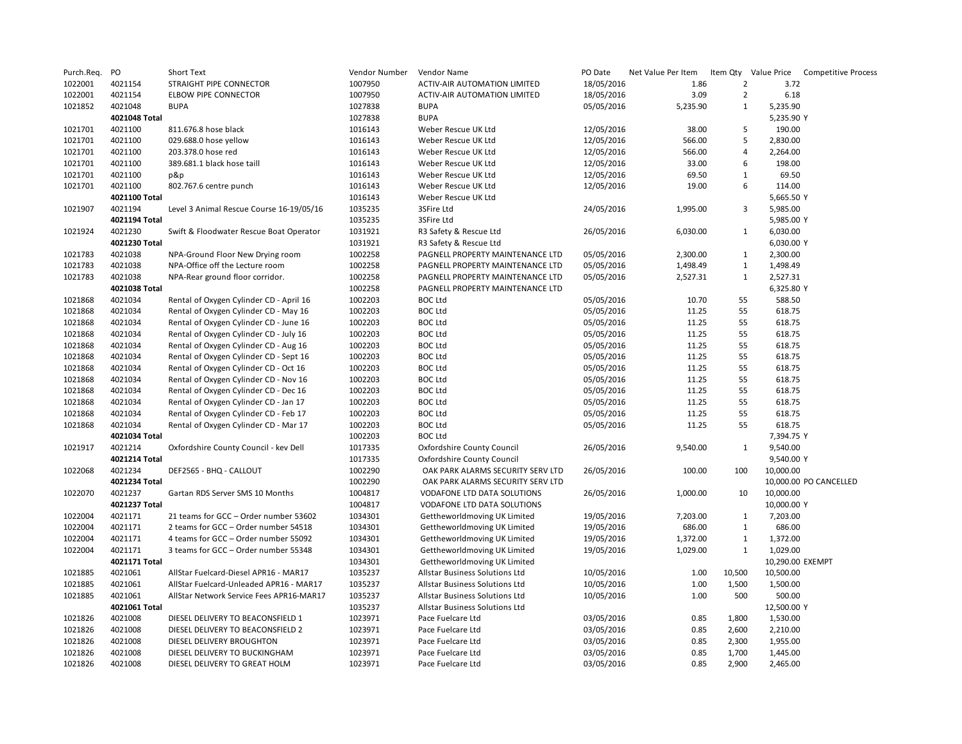| Purch.Req. | PO            | <b>Short Text</b>                        | Vendor Number | Vendor Name                         | PO Date    | Net Value Per Item |                | Item Qty Value Price | <b>Competitive Process</b> |
|------------|---------------|------------------------------------------|---------------|-------------------------------------|------------|--------------------|----------------|----------------------|----------------------------|
| 1022001    | 4021154       | STRAIGHT PIPE CONNECTOR                  | 1007950       | ACTIV-AIR AUTOMATION LIMITED        | 18/05/2016 | 1.86               | $\overline{2}$ | 3.72                 |                            |
| 1022001    | 4021154       | ELBOW PIPE CONNECTOR                     | 1007950       | <b>ACTIV-AIR AUTOMATION LIMITED</b> | 18/05/2016 | 3.09               | $\overline{2}$ | 6.18                 |                            |
| 1021852    | 4021048       | <b>BUPA</b>                              | 1027838       | <b>BUPA</b>                         | 05/05/2016 | 5,235.90           | $\mathbf{1}$   | 5,235.90             |                            |
|            | 4021048 Total |                                          | 1027838       | <b>BUPA</b>                         |            |                    |                | 5,235.90 Y           |                            |
| 1021701    | 4021100       | 811.676.8 hose black                     | 1016143       | Weber Rescue UK Ltd                 | 12/05/2016 | 38.00              | 5              | 190.00               |                            |
| 1021701    | 4021100       | 029.688.0 hose yellow                    | 1016143       | Weber Rescue UK Ltd                 | 12/05/2016 | 566.00             | 5              | 2,830.00             |                            |
| 1021701    | 4021100       | 203.378.0 hose red                       | 1016143       | Weber Rescue UK Ltd                 | 12/05/2016 | 566.00             | $\overline{4}$ | 2,264.00             |                            |
| 1021701    | 4021100       | 389.681.1 black hose taill               | 1016143       | Weber Rescue UK Ltd                 | 12/05/2016 | 33.00              | 6              | 198.00               |                            |
| 1021701    | 4021100       | p&p                                      | 1016143       | Weber Rescue UK Ltd                 | 12/05/2016 | 69.50              | $\mathbf{1}$   | 69.50                |                            |
| 1021701    | 4021100       | 802.767.6 centre punch                   | 1016143       | Weber Rescue UK Ltd                 | 12/05/2016 | 19.00              | 6              | 114.00               |                            |
|            | 4021100 Total |                                          | 1016143       | Weber Rescue UK Ltd                 |            |                    |                | 5,665.50 Y           |                            |
| 1021907    | 4021194       | Level 3 Animal Rescue Course 16-19/05/16 | 1035235       | 3SFire Ltd                          | 24/05/2016 | 1,995.00           | 3              | 5,985.00             |                            |
|            | 4021194 Total |                                          | 1035235       | 3SFire Ltd                          |            |                    |                | 5,985.00 Y           |                            |
| 1021924    | 4021230       | Swift & Floodwater Rescue Boat Operator  | 1031921       | R3 Safety & Rescue Ltd              | 26/05/2016 | 6,030.00           | $\mathbf{1}$   | 6,030.00             |                            |
|            | 4021230 Total |                                          | 1031921       | R3 Safety & Rescue Ltd              |            |                    |                | 6,030.00 Y           |                            |
| 1021783    | 4021038       | NPA-Ground Floor New Drying room         | 1002258       | PAGNELL PROPERTY MAINTENANCE LTD    | 05/05/2016 | 2,300.00           | $\mathbf{1}$   | 2,300.00             |                            |
| 1021783    | 4021038       | NPA-Office off the Lecture room          | 1002258       | PAGNELL PROPERTY MAINTENANCE LTD    | 05/05/2016 | 1,498.49           | $\mathbf{1}$   | 1,498.49             |                            |
| 1021783    | 4021038       | NPA-Rear ground floor corridor.          | 1002258       | PAGNELL PROPERTY MAINTENANCE LTD    | 05/05/2016 | 2,527.31           | $\mathbf{1}$   | 2,527.31             |                            |
|            | 4021038 Total |                                          | 1002258       | PAGNELL PROPERTY MAINTENANCE LTD    |            |                    |                | 6,325.80 Y           |                            |
| 1021868    | 4021034       | Rental of Oxygen Cylinder CD - April 16  | 1002203       | <b>BOC Ltd</b>                      | 05/05/2016 | 10.70              | 55             | 588.50               |                            |
| 1021868    | 4021034       | Rental of Oxygen Cylinder CD - May 16    | 1002203       | <b>BOC Ltd</b>                      | 05/05/2016 | 11.25              | 55             | 618.75               |                            |
| 1021868    | 4021034       | Rental of Oxygen Cylinder CD - June 16   | 1002203       | <b>BOC Ltd</b>                      | 05/05/2016 | 11.25              | 55             | 618.75               |                            |
| 1021868    | 4021034       | Rental of Oxygen Cylinder CD - July 16   | 1002203       | <b>BOC Ltd</b>                      | 05/05/2016 | 11.25              | 55             | 618.75               |                            |
| 1021868    | 4021034       | Rental of Oxygen Cylinder CD - Aug 16    | 1002203       | <b>BOC Ltd</b>                      | 05/05/2016 | 11.25              | 55             | 618.75               |                            |
| 1021868    | 4021034       | Rental of Oxygen Cylinder CD - Sept 16   | 1002203       | <b>BOC Ltd</b>                      | 05/05/2016 | 11.25              | 55             | 618.75               |                            |
| 1021868    | 4021034       | Rental of Oxygen Cylinder CD - Oct 16    | 1002203       | <b>BOC Ltd</b>                      | 05/05/2016 | 11.25              | 55             | 618.75               |                            |
| 1021868    | 4021034       | Rental of Oxygen Cylinder CD - Nov 16    | 1002203       | <b>BOC Ltd</b>                      | 05/05/2016 | 11.25              | 55             | 618.75               |                            |
| 1021868    | 4021034       | Rental of Oxygen Cylinder CD - Dec 16    | 1002203       | <b>BOC Ltd</b>                      | 05/05/2016 | 11.25              | 55             | 618.75               |                            |
| 1021868    | 4021034       | Rental of Oxygen Cylinder CD - Jan 17    | 1002203       | <b>BOC Ltd</b>                      | 05/05/2016 | 11.25              | 55             | 618.75               |                            |
| 1021868    | 4021034       | Rental of Oxygen Cylinder CD - Feb 17    | 1002203       | <b>BOC Ltd</b>                      | 05/05/2016 | 11.25              | 55             | 618.75               |                            |
| 1021868    | 4021034       | Rental of Oxygen Cylinder CD - Mar 17    | 1002203       | <b>BOC Ltd</b>                      | 05/05/2016 | 11.25              | 55             | 618.75               |                            |
|            | 4021034 Total |                                          | 1002203       | <b>BOC Ltd</b>                      |            |                    |                | 7,394.75 Y           |                            |
| 1021917    | 4021214       | Oxfordshire County Council - kev Dell    | 1017335       | Oxfordshire County Council          | 26/05/2016 | 9,540.00           | 1              | 9,540.00             |                            |
|            | 4021214 Total |                                          | 1017335       | <b>Oxfordshire County Council</b>   |            |                    |                | 9,540.00 Y           |                            |
| 1022068    | 4021234       | DEF2565 - BHQ - CALLOUT                  | 1002290       | OAK PARK ALARMS SECURITY SERV LTD   | 26/05/2016 | 100.00             | 100            | 10,000.00            |                            |
|            | 4021234 Total |                                          | 1002290       | OAK PARK ALARMS SECURITY SERV LTD   |            |                    |                |                      | 10,000.00 PO CANCELLED     |
| 1022070    | 4021237       | Gartan RDS Server SMS 10 Months          | 1004817       | VODAFONE LTD DATA SOLUTIONS         | 26/05/2016 | 1,000.00           | 10             | 10,000.00            |                            |
|            | 4021237 Total |                                          | 1004817       | VODAFONE LTD DATA SOLUTIONS         |            |                    |                | 10,000.00 Y          |                            |
| 1022004    | 4021171       | 21 teams for GCC - Order number 53602    | 1034301       | Gettheworldmoving UK Limited        | 19/05/2016 | 7,203.00           | 1              | 7,203.00             |                            |
| 1022004    | 4021171       | 2 teams for GCC - Order number 54518     | 1034301       | Gettheworldmoving UK Limited        | 19/05/2016 | 686.00             | $\mathbf{1}$   | 686.00               |                            |
| 1022004    | 4021171       | 4 teams for GCC - Order number 55092     | 1034301       | Gettheworldmoving UK Limited        | 19/05/2016 | 1,372.00           | $\mathbf 1$    | 1,372.00             |                            |
| 1022004    | 4021171       | 3 teams for GCC - Order number 55348     | 1034301       | Gettheworldmoving UK Limited        | 19/05/2016 | 1,029.00           | $\mathbf{1}$   | 1,029.00             |                            |
|            | 4021171 Total |                                          | 1034301       | Gettheworldmoving UK Limited        |            |                    |                | 10,290.00 EXEMPT     |                            |
| 1021885    | 4021061       | AllStar Fuelcard-Diesel APR16 - MAR17    | 1035237       | Allstar Business Solutions Ltd      | 10/05/2016 | 1.00               | 10,500         | 10,500.00            |                            |
| 1021885    | 4021061       | AllStar Fuelcard-Unleaded APR16 - MAR17  | 1035237       | Allstar Business Solutions Ltd      | 10/05/2016 | 1.00               | 1,500          | 1,500.00             |                            |
| 1021885    | 4021061       | AllStar Network Service Fees APR16-MAR17 | 1035237       | Allstar Business Solutions Ltd      | 10/05/2016 | 1.00               | 500            | 500.00               |                            |
|            | 4021061 Total |                                          | 1035237       | Allstar Business Solutions Ltd      |            |                    |                | 12,500.00 Y          |                            |
| 1021826    | 4021008       | DIESEL DELIVERY TO BEACONSFIELD 1        | 1023971       | Pace Fuelcare Ltd                   | 03/05/2016 | 0.85               | 1,800          | 1,530.00             |                            |
| 1021826    | 4021008       | DIESEL DELIVERY TO BEACONSFIELD 2        | 1023971       | Pace Fuelcare Ltd                   | 03/05/2016 | 0.85               | 2,600          | 2,210.00             |                            |
| 1021826    | 4021008       | DIESEL DELIVERY BROUGHTON                | 1023971       | Pace Fuelcare Ltd                   | 03/05/2016 | 0.85               | 2,300          | 1,955.00             |                            |
| 1021826    | 4021008       | DIESEL DELIVERY TO BUCKINGHAM            | 1023971       | Pace Fuelcare Ltd                   | 03/05/2016 | 0.85               | 1,700          | 1,445.00             |                            |
| 1021826    | 4021008       | DIESEL DELIVERY TO GREAT HOLM            | 1023971       | Pace Fuelcare Ltd                   | 03/05/2016 | 0.85               | 2,900          | 2,465.00             |                            |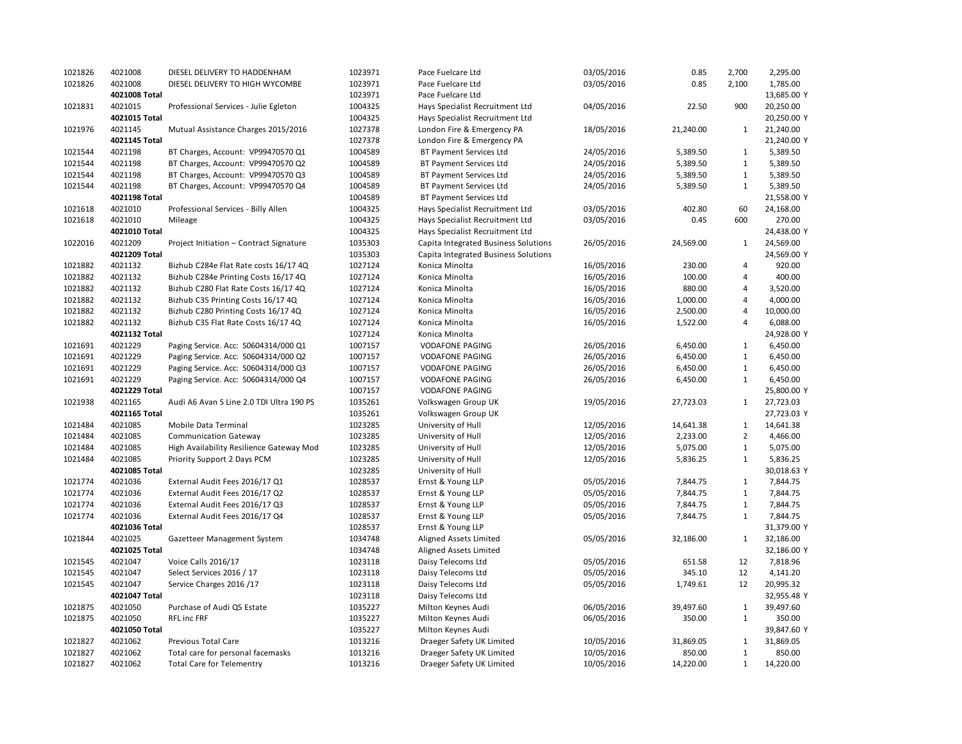| 1021826 | 4021008            | DIESEL DELIVERY TO HADDENHAM             | 1023971 | Pace Fuelcare Ltd                    | 03/05/2016 | 0.85      | 2,700          | 2,295.00    |
|---------|--------------------|------------------------------------------|---------|--------------------------------------|------------|-----------|----------------|-------------|
| 1021826 | 4021008            | DIESEL DELIVERY TO HIGH WYCOMBE          | 1023971 | Pace Fuelcare Ltd                    | 03/05/2016 | 0.85      | 2,100          | 1,785.00    |
|         | 4021008 Total      |                                          | 1023971 | Pace Fuelcare Ltd                    |            |           |                | 13,685.00 Y |
| 1021831 | 4021015            | Professional Services - Julie Egleton    | 1004325 | Hays Specialist Recruitment Ltd      | 04/05/2016 | 22.50     | 900            | 20,250.00   |
|         | 4021015 Total      |                                          | 1004325 | Hays Specialist Recruitment Ltd      |            |           |                | 20,250.00 Y |
| 1021976 | 4021145            | Mutual Assistance Charges 2015/2016      | 1027378 | London Fire & Emergency PA           | 18/05/2016 | 21,240.00 | $\mathbf{1}$   | 21,240.00   |
|         | 4021145 Total      |                                          | 1027378 | London Fire & Emergency PA           |            |           |                | 21,240.00 Y |
| 1021544 | 4021198            | BT Charges, Account: VP99470570 Q1       | 1004589 | <b>BT Payment Services Ltd</b>       | 24/05/2016 | 5,389.50  | $\mathbf{1}$   | 5,389.50    |
| 1021544 | 4021198            | BT Charges, Account: VP99470570 Q2       | 1004589 | BT Payment Services Ltd              | 24/05/2016 | 5,389.50  | $\mathbf{1}$   | 5,389.50    |
| 1021544 | 4021198            | BT Charges, Account: VP99470570 Q3       | 1004589 | BT Payment Services Ltd              | 24/05/2016 | 5,389.50  | $\mathbf{1}$   | 5,389.50    |
| 1021544 | 4021198            | BT Charges, Account: VP99470570 Q4       | 1004589 | BT Payment Services Ltd              | 24/05/2016 | 5,389.50  | $\mathbf{1}$   | 5,389.50    |
|         | 4021198 Total      |                                          | 1004589 | BT Payment Services Ltd              |            |           |                | 21,558.00 Y |
| 1021618 | 4021010            | Professional Services - Billy Allen      | 1004325 | Hays Specialist Recruitment Ltd      | 03/05/2016 | 402.80    | 60             | 24,168.00   |
| 1021618 | 4021010            | Mileage                                  | 1004325 | Hays Specialist Recruitment Ltd      | 03/05/2016 | 0.45      | 600            | 270.00      |
|         | 4021010 Total      |                                          | 1004325 | Hays Specialist Recruitment Ltd      |            |           |                | 24,438.00 Y |
| 1022016 | 4021209            | Project Initiation - Contract Signature  | 1035303 | Capita Integrated Business Solutions | 26/05/2016 | 24,569.00 | $\mathbf{1}$   | 24,569.00   |
|         | 4021209 Total      |                                          | 1035303 | Capita Integrated Business Solutions |            |           |                | 24,569.00 Y |
| 1021882 | 4021132            |                                          | 1027124 |                                      |            |           | 4              | 920.00      |
|         |                    | Bizhub C284e Flat Rate costs 16/17 4Q    |         | Konica Minolta                       | 16/05/2016 | 230.00    | 4              |             |
| 1021882 | 4021132<br>4021132 | Bizhub C284e Printing Costs 16/17 4Q     | 1027124 | Konica Minolta                       | 16/05/2016 | 100.00    | 4              | 400.00      |
| 1021882 |                    | Bizhub C280 Flat Rate Costs 16/17 4Q     | 1027124 | Konica Minolta                       | 16/05/2016 | 880.00    | 4              | 3,520.00    |
| 1021882 | 4021132            | Bizhub C35 Printing Costs 16/17 4Q       | 1027124 | Konica Minolta                       | 16/05/2016 | 1,000.00  |                | 4,000.00    |
| 1021882 | 4021132            | Bizhub C280 Printing Costs 16/17 4Q      | 1027124 | Konica Minolta                       | 16/05/2016 | 2,500.00  | 4              | 10,000.00   |
| 1021882 | 4021132            | Bizhub C35 Flat Rate Costs 16/17 4Q      | 1027124 | Konica Minolta                       | 16/05/2016 | 1,522.00  | 4              | 6,088.00    |
|         | 4021132 Total      |                                          | 1027124 | Konica Minolta                       |            |           |                | 24,928.00 Y |
| 1021691 | 4021229            | Paging Service. Acc: S0604314/000 Q1     | 1007157 | <b>VODAFONE PAGING</b>               | 26/05/2016 | 6,450.00  | $\mathbf{1}$   | 6,450.00    |
| 1021691 | 4021229            | Paging Service. Acc: S0604314/000 Q2     | 1007157 | <b>VODAFONE PAGING</b>               | 26/05/2016 | 6,450.00  | $\mathbf{1}$   | 6,450.00    |
| 1021691 | 4021229            | Paging Service. Acc: S0604314/000 Q3     | 1007157 | <b>VODAFONE PAGING</b>               | 26/05/2016 | 6,450.00  | $\mathbf{1}$   | 6,450.00    |
| 1021691 | 4021229            | Paging Service. Acc: S0604314/000 Q4     | 1007157 | <b>VODAFONE PAGING</b>               | 26/05/2016 | 6,450.00  | $\mathbf{1}$   | 6,450.00    |
|         | 4021229 Total      |                                          | 1007157 | <b>VODAFONE PAGING</b>               |            |           |                | 25,800.00 Y |
| 1021938 | 4021165            | Audi A6 Avan S Line 2.0 TDI Ultra 190 PS | 1035261 | Volkswagen Group UK                  | 19/05/2016 | 27,723.03 | $\mathbf{1}$   | 27,723.03   |
|         | 4021165 Total      |                                          | 1035261 | Volkswagen Group UK                  |            |           |                | 27,723.03 Y |
| 1021484 | 4021085            | Mobile Data Terminal                     | 1023285 | University of Hull                   | 12/05/2016 | 14,641.38 | $\mathbf{1}$   | 14,641.38   |
| 1021484 | 4021085            | <b>Communication Gateway</b>             | 1023285 | University of Hull                   | 12/05/2016 | 2,233.00  | $\overline{2}$ | 4,466.00    |
| 1021484 | 4021085            | High Availability Resilience Gateway Mod | 1023285 | University of Hull                   | 12/05/2016 | 5,075.00  | $\mathbf{1}$   | 5,075.00    |
| 1021484 | 4021085            | Priority Support 2 Days PCM              | 1023285 | University of Hull                   | 12/05/2016 | 5,836.25  | $\mathbf{1}$   | 5,836.25    |
|         | 4021085 Total      |                                          | 1023285 | University of Hull                   |            |           |                | 30,018.63 Y |
| 1021774 | 4021036            | External Audit Fees 2016/17 Q1           | 1028537 | Ernst & Young LLP                    | 05/05/2016 | 7,844.75  | $\mathbf{1}$   | 7,844.75    |
| 1021774 | 4021036            | External Audit Fees 2016/17 Q2           | 1028537 | Ernst & Young LLP                    | 05/05/2016 | 7,844.75  | $\mathbf{1}$   | 7,844.75    |
| 1021774 | 4021036            | External Audit Fees 2016/17 Q3           | 1028537 | Ernst & Young LLP                    | 05/05/2016 | 7,844.75  | $\mathbf{1}$   | 7,844.75    |
| 1021774 | 4021036            | External Audit Fees 2016/17 Q4           | 1028537 | Ernst & Young LLP                    | 05/05/2016 | 7,844.75  | $\mathbf{1}$   | 7,844.75    |
|         | 4021036 Total      |                                          | 1028537 | Ernst & Young LLP                    |            |           |                | 31,379.00 Y |
| 1021844 | 4021025            | Gazetteer Management System              | 1034748 | Aligned Assets Limited               | 05/05/2016 | 32,186.00 | $\mathbf{1}$   | 32,186.00   |
|         | 4021025 Total      |                                          | 1034748 | Aligned Assets Limited               |            |           |                | 32,186.00 Y |
| 1021545 | 4021047            | Voice Calls 2016/17                      | 1023118 | Daisy Telecoms Ltd                   | 05/05/2016 | 651.58    | 12             | 7,818.96    |
| 1021545 | 4021047            | Select Services 2016 / 17                | 1023118 | Daisy Telecoms Ltd                   | 05/05/2016 | 345.10    | 12             | 4,141.20    |
| 1021545 | 4021047            | Service Charges 2016 /17                 | 1023118 | Daisy Telecoms Ltd                   | 05/05/2016 | 1,749.61  | 12             | 20,995.32   |
|         | 4021047 Total      |                                          | 1023118 | Daisy Telecoms Ltd                   |            |           |                | 32,955.48 Y |
| 1021875 | 4021050            | Purchase of Audi Q5 Estate               | 1035227 | Milton Keynes Audi                   | 06/05/2016 | 39,497.60 | $\mathbf{1}$   | 39,497.60   |
| 1021875 | 4021050            | <b>RFL inc FRF</b>                       | 1035227 | Milton Keynes Audi                   | 06/05/2016 | 350.00    | $\mathbf{1}$   | 350.00      |
|         | 4021050 Total      |                                          | 1035227 | Milton Keynes Audi                   |            |           |                | 39,847.60 Y |
| 1021827 | 4021062            | Previous Total Care                      | 1013216 | Draeger Safety UK Limited            | 10/05/2016 | 31,869.05 | $\mathbf{1}$   | 31,869.05   |
| 1021827 | 4021062            | Total care for personal facemasks        | 1013216 | Draeger Safety UK Limited            | 10/05/2016 | 850.00    | $\mathbf{1}$   | 850.00      |
| 1021827 | 4021062            | <b>Total Care for Telementry</b>         | 1013216 | Draeger Safety UK Limited            | 10/05/2016 | 14,220.00 | $\mathbf{1}$   | 14,220.00   |
|         |                    |                                          |         |                                      |            |           |                |             |